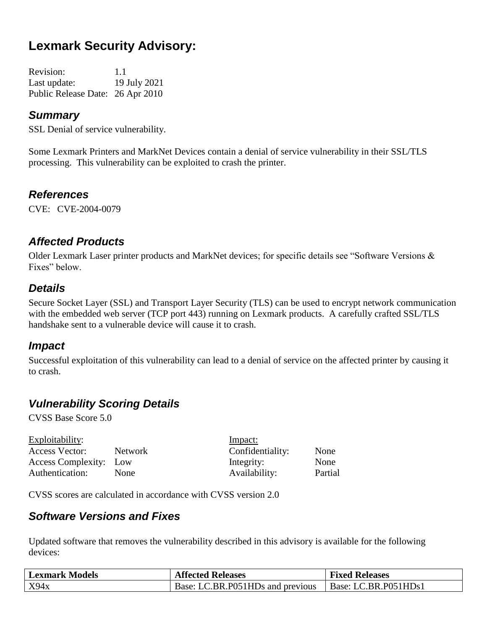# **Lexmark Security Advisory:**

| <b>Revision:</b>                 | 1.1          |
|----------------------------------|--------------|
| Last update:                     | 19 July 2021 |
| Public Release Date: 26 Apr 2010 |              |

#### *Summary*

SSL Denial of service vulnerability.

Some Lexmark Printers and MarkNet Devices contain a denial of service vulnerability in their SSL/TLS processing. This vulnerability can be exploited to crash the printer.

#### *References*

CVE: CVE-2004-0079

#### *Affected Products*

Older Lexmark Laser printer products and MarkNet devices; for specific details see "Software Versions & Fixes" below.

#### *Details*

Secure Socket Layer (SSL) and Transport Layer Security (TLS) can be used to encrypt network communication with the embedded web server (TCP port 443) running on Lexmark products. A carefully crafted SSL/TLS handshake sent to a vulnerable device will cause it to crash.

#### *Impact*

Successful exploitation of this vulnerability can lead to a denial of service on the affected printer by causing it to crash.

# *Vulnerability Scoring Details*

CVSS Base Score 5.0

| Exploitability:        |             | Impact:          |         |
|------------------------|-------------|------------------|---------|
| Access Vector:         | Network     | Confidentiality: | None    |
| Access Complexity: Low |             | Integrity:       | None    |
| Authentication:        | <b>None</b> | Availability:    | Partial |

CVSS scores are calculated in accordance with CVSS version 2.0

#### *Software Versions and Fixes*

Updated software that removes the vulnerability described in this advisory is available for the following devices:

| <b>Lexmark Models</b> | <b>Affected Releases</b>         | <b>Fixed Releases</b> |
|-----------------------|----------------------------------|-----------------------|
| X94x                  | Base: LC.BR.P051HDs and previous | Base: LC.BR.P051HDs1  |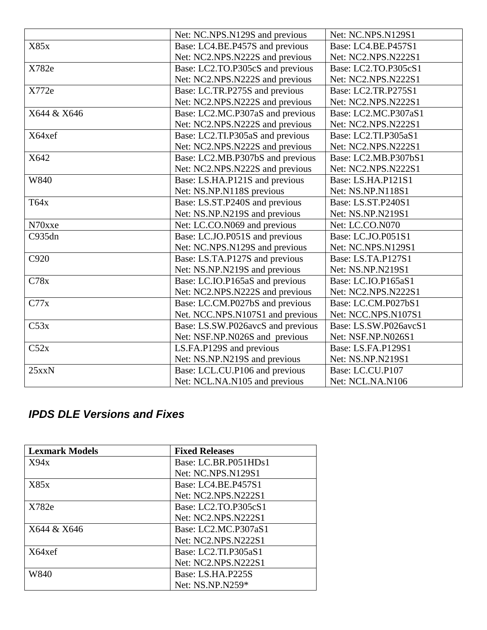|             | Net: NC.NPS.N129S and previous    | Net: NC.NPS.N129S1        |
|-------------|-----------------------------------|---------------------------|
| X85x        | Base: LC4.BE.P457S and previous   | Base: LC4.BE.P457S1       |
|             | Net: NC2.NPS.N222S and previous   | Net: NC2.NPS.N222S1       |
| X782e       | Base: LC2.TO.P305cS and previous  | Base: LC2.TO.P305cS1      |
|             | Net: NC2.NPS.N222S and previous   | Net: NC2.NPS.N222S1       |
| X772e       | Base: LC.TR.P275S and previous    | Base: LC2.TR.P275S1       |
|             | Net: NC2.NPS.N222S and previous   | Net: NC2.NPS.N222S1       |
| X644 & X646 | Base: LC2.MC.P307aS and previous  | Base: LC2.MC.P307aS1      |
|             | Net: NC2.NPS.N222S and previous   | Net: NC2.NPS.N222S1       |
| X64xef      | Base: LC2.TI.P305aS and previous  | Base: LC2.TI.P305aS1      |
|             | Net: NC2.NPS.N222S and previous   | Net: NC2.NPS.N222S1       |
| X642        | Base: LC2.MB.P307bS and previous  | Base: LC2.MB.P307bS1      |
|             | Net: NC2.NPS.N222S and previous   | Net: NC2.NPS.N222S1       |
| W840        | Base: LS.HA.P121S and previous    | Base: LS.HA.P121S1        |
|             | Net: NS.NP.N118S previous         | Net: NS.NP.N118S1         |
| T64x        | Base: LS.ST.P240S and previous    | Base: LS.ST.P240S1        |
|             | Net: NS.NP.N219S and previous     | Net: NS.NP.N219S1         |
| N70xxe      | Net: LC.CO.N069 and previous      | Net: LC.CO.N070           |
| C935dn      | Base: LC.JO.P051S and previous    |                           |
|             | Net: NC.NPS.N129S and previous    | Net: NC.NPS.N129S1        |
| C920        | Base: LS.TA.P127S and previous    | <b>Base: LS.TA.P127S1</b> |
|             | Net: NS.NP.N219S and previous     | Net: NS.NP.N219S1         |
| C78x        | Base: LC.IO.P165aS and previous   | Base: LC.IO.P165aS1       |
|             | Net: NC2.NPS.N222S and previous   | Net: NC2.NPS.N222S1       |
| C77x        | Base: LC.CM.P027bS and previous   | Base: LC.CM.P027bS1       |
|             | Net. NCC.NPS.N107S1 and previous  | Net: NCC.NPS.N107S1       |
| C53x        | Base: LS.SW.P026avcS and previous | Base: LS.SW.P026avcS1     |
|             | Net: NSF.NP.N026S and previous    | Net: NSF.NP.N026S1        |
| C52x        | LS.FA.P129S and previous          | <b>Base: LS.FA.P129S1</b> |
|             | Net: NS.NP.N219S and previous     | Net: NS.NP.N219S1         |
| $25$ xxN    | Base: LCL.CU.P106 and previous    | Base: LC.CU.P107          |
|             | Net: NCL.NA.N105 and previous     | Net: NCL.NA.N106          |

# *IPDS DLE Versions and Fixes*

| <b>Lexmark Models</b> | <b>Fixed Releases</b> |
|-----------------------|-----------------------|
| X94x                  | Base: LC.BR.P051HDs1  |
|                       | Net: NC.NPS.N129S1    |
| X85x                  | Base: LC4.BE.P457S1   |
|                       | Net: NC2.NPS.N222S1   |
| X782e                 | Base: LC2.TO.P305cS1  |
|                       | Net: NC2.NPS.N222S1   |
| X644 & X646           | Base: LC2.MC.P307aS1  |
|                       | Net: NC2.NPS.N222S1   |
| X64xef                | Base: LC2.TI.P305aS1  |
|                       | Net: NC2.NPS.N222S1   |
| W840                  | Base: LS.HA.P225S     |
|                       | Net: NS.NP.N259*      |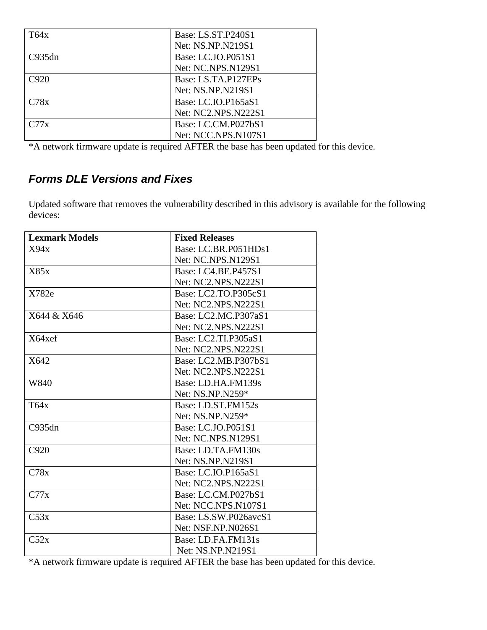| T64x   | Base: LS.ST.P240S1  |
|--------|---------------------|
|        | Net: NS.NP.N219S1   |
| C935dn | Base: LC.JO.P051S1  |
|        | Net: NC.NPS.N129S1  |
| C920   | Base: LS.TA.P127EPs |
|        | Net: NS.NP.N219S1   |
| C78x   | Base: LC.IO.P165aS1 |
|        | Net: NC2.NPS.N222S1 |
| C77x   | Base: LC.CM.P027bS1 |
|        | Net: NCC.NPS.N107S1 |

\*A network firmware update is required AFTER the base has been updated for this device.

# *Forms DLE Versions and Fixes*

Updated software that removes the vulnerability described in this advisory is available for the following devices:

| <b>Lexmark Models</b> | <b>Fixed Releases</b>     |
|-----------------------|---------------------------|
| X94x                  | Base: LC.BR.P051HDs1      |
|                       | <b>Net: NC.NPS.N129S1</b> |
| X85x                  | Base: LC4.BE.P457S1       |
|                       | Net: NC2.NPS.N222S1       |
| X782e                 | Base: LC2.TO.P305cS1      |
|                       | Net: NC2.NPS.N222S1       |
| X644 & X646           | Base: LC2.MC.P307aS1      |
|                       | Net: NC2.NPS.N222S1       |
| X64xef                | Base: LC2.TI.P305aS1      |
|                       | Net: NC2.NPS.N222S1       |
| X642                  | Base: LC2.MB.P307bS1      |
|                       | Net: NC2.NPS.N222S1       |
| W840                  | Base: LD.HA.FM139s        |
|                       | Net: NS.NP.N259*          |
| T64x                  | Base: LD.ST.FM152s        |
|                       | Net: NS.NP.N259*          |
| C935dn                | Base: LC.JO.P051S1        |
|                       | Net: NC.NPS.N129S1        |
| C920                  | Base: LD.TA.FM130s        |
|                       | Net: NS.NP.N219S1         |
| C78x                  | Base: LC.IO.P165aS1       |
|                       | Net: NC2.NPS.N222S1       |
| C77x                  | Base: LC.CM.P027bS1       |
|                       | Net: NCC.NPS.N107S1       |
| C53x                  | Base: LS.SW.P026avcS1     |
|                       | Net: NSF.NP.N026S1        |
| C52x                  | Base: LD.FA.FM131s        |
|                       | Net: NS.NP.N219S1         |

\*A network firmware update is required AFTER the base has been updated for this device.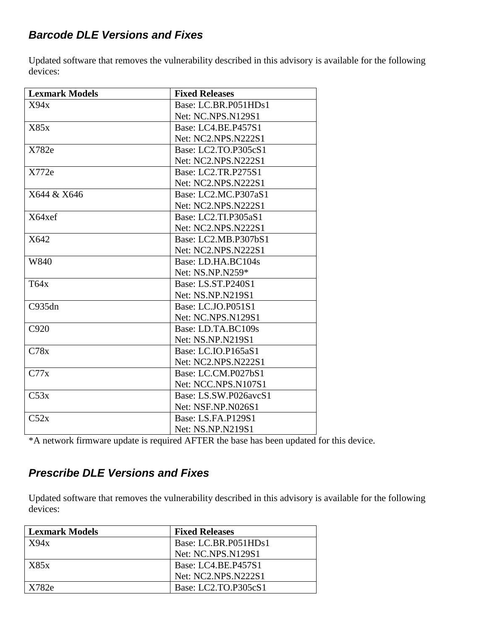### *Barcode DLE Versions and Fixes*

Updated software that removes the vulnerability described in this advisory is available for the following devices:

| <b>Lexmark Models</b> | <b>Fixed Releases</b>     |
|-----------------------|---------------------------|
| X94x                  | Base: LC.BR.P051HDs1      |
|                       | Net: NC.NPS.N129S1        |
| X85x                  | Base: LC4.BE.P457S1       |
|                       | Net: NC2.NPS.N222S1       |
| X782e                 | Base: LC2.TO.P305cS1      |
|                       | Net: NC2.NPS.N222S1       |
| X772e                 | Base: LC2.TR.P275S1       |
|                       | Net: NC2.NPS.N222S1       |
| X644 & X646           | Base: LC2.MC.P307aS1      |
|                       | Net: NC2.NPS.N222S1       |
| X64xef                | Base: LC2.TI.P305aS1      |
|                       | Net: NC2.NPS.N222S1       |
| X642                  | Base: LC2.MB.P307bS1      |
|                       | Net: NC2.NPS.N222S1       |
| W840                  | Base: LD.HA.BC104s        |
|                       | Net: NS.NP.N259*          |
| T64x                  | Base: LS.ST.P240S1        |
|                       | Net: NS.NP.N219S1         |
| C935dn                | Base: LC.JO.P051S1        |
|                       | Net: NC.NPS.N129S1        |
| C920                  | Base: LD.TA.BC109s        |
|                       | Net: NS.NP.N219S1         |
| C78x                  | Base: LC.IO.P165aS1       |
|                       | Net: NC2.NPS.N222S1       |
| C77x                  | Base: LC.CM.P027bS1       |
|                       | Net: NCC.NPS.N107S1       |
| C53x                  | Base: LS.SW.P026avcS1     |
|                       | Net: NSF.NP.N026S1        |
| C52x                  | <b>Base: LS.FA.P129S1</b> |
|                       | Net: NS.NP.N219S1         |

\*A network firmware update is required AFTER the base has been updated for this device.

## *Prescribe DLE Versions and Fixes*

Updated software that removes the vulnerability described in this advisory is available for the following devices:

| <b>Lexmark Models</b> | <b>Fixed Releases</b> |
|-----------------------|-----------------------|
| X94x                  | Base: LC.BR.P051HDs1  |
|                       | Net: NC.NPS.N129S1    |
| X85x                  | Base: LC4.BE.P457S1   |
|                       | Net: NC2.NPS.N222S1   |
| X782e                 | Base: LC2.TO.P305cS1  |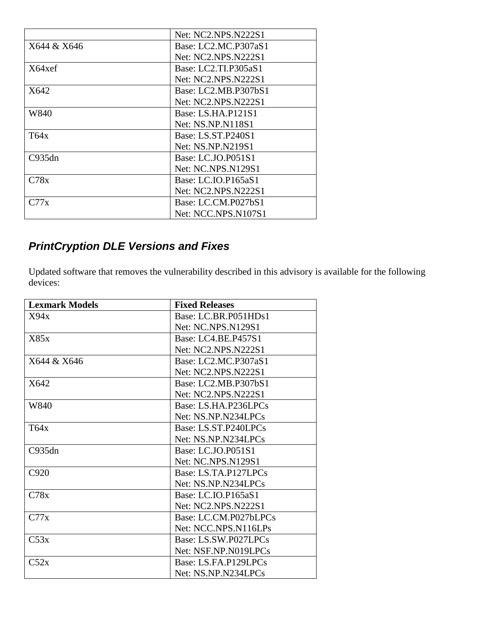|             | Net: NC2.NPS.N222S1        |
|-------------|----------------------------|
| X644 & X646 | Base: LC2.MC.P307aS1       |
|             | <b>Net: NC2.NPS.N222S1</b> |
| X64xef      | Base: LC2.TI.P305aS1       |
|             | <b>Net: NC2.NPS.N222S1</b> |
| X642        | Base: LC2.MB.P307bS1       |
|             | Net: NC2.NPS.N222S1        |
| W840        | Base: LS.HA.P121S1         |
|             | Net: NS.NP.N118S1          |
| T64x        | Base: LS.ST.P240S1         |
|             | Net: NS.NP.N219S1          |
| C935dn      | Base: LC.JO.P051S1         |
|             | <b>Net: NC.NPS.N129S1</b>  |
| C78x        | Base: LC.IO.P165aS1        |
|             | <b>Net: NC2.NPS.N222S1</b> |
| C77x        | Base: LC.CM.P027bS1        |
|             | Net: NCC.NPS.N107S1        |

# *PrintCryption DLE Versions and Fixes*

Updated software that removes the vulnerability described in this advisory is available for the following devices:

| <b>Lexmark Models</b> | <b>Fixed Releases</b>     |
|-----------------------|---------------------------|
| X94x                  | Base: LC.BR.P051HDs1      |
|                       | <b>Net: NC.NPS.N129S1</b> |
| X85x                  | Base: LC4.BE.P457S1       |
|                       | Net: NC2.NPS.N222S1       |
| X644 & X646           | Base: LC2.MC.P307aS1      |
|                       | Net: NC2.NPS.N222S1       |
| X642                  | Base: LC2.MB.P307bS1      |
|                       | Net: NC2.NPS.N222S1       |
| W840                  | Base: LS.HA.P236LPCs      |
|                       | Net: NS.NP.N234LPCs       |
| T64x                  | Base: LS.ST.P240LPCs      |
|                       | Net: NS.NP.N234LPCs       |
| C935dn                | Base: LC.JO.P051S1        |
|                       | Net: NC.NPS.N129S1        |
| C920                  | Base: LS.TA.P127LPCs      |
|                       | Net: NS.NP.N234LPCs       |
| C78x                  | Base: LC.IO.P165aS1       |
|                       | Net: NC2.NPS.N222S1       |
| C77x                  | Base: LC.CM.P027bLPCs     |
|                       | Net: NCC.NPS.N116LPs      |
| C53x                  | Base: LS.SW.P027LPCs      |
|                       | Net: NSF.NP.N019LPCs      |
| C52x                  | Base: LS.FA.P129LPCs      |
|                       | Net: NS.NP.N234LPCs       |